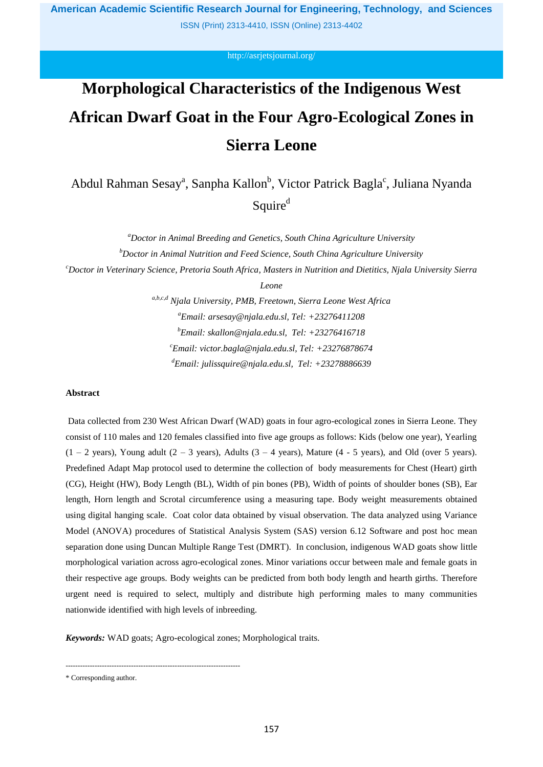ISSN (Print) 2313-4410, ISSN (Online) 2313-4402

<http://asrjetsjournal.org/>

# **Morphological Characteristics of the Indigenous West African Dwarf Goat in the Four Agro-Ecological Zones in Sierra Leone**

Abdul Rahman Sesay<sup>a</sup>, Sanpha Kallon<sup>b</sup>, Victor Patrick Bagla<sup>c</sup>, Juliana Nyanda Squire<sup>d</sup>

> *<sup>a</sup>Doctor in Animal Breeding and Genetics, South China Agriculture University <sup>b</sup>Doctor in Animal Nutrition and Feed Science, South China Agriculture University*

*<sup>c</sup>Doctor in Veterinary Science, Pretoria South Africa, Masters in Nutrition and Dietitics, Njala University Sierra* 

*Leone*

*a,b,c,d Njala University, PMB, Freetown, Sierra Leone West Africa <sup>a</sup>Email: arsesay@njala.edu.sl, Tel: +23276411208 <sup>b</sup>Email: skallon@njala.edu.sl, Tel: +23276416718 <sup>c</sup>Email: victor.bagla@njala.edu.sl, Tel: +23276878674 <sup>d</sup>Email: julissquire@njala.edu.sl, Tel: +23278886639*

# **Abstract**

Data collected from 230 West African Dwarf (WAD) goats in four agro-ecological zones in Sierra Leone. They consist of 110 males and 120 females classified into five age groups as follows: Kids (below one year), Yearling  $(1 - 2 \text{ years})$ , Young adult  $(2 - 3 \text{ years})$ , Adults  $(3 - 4 \text{ years})$ , Mature  $(4 - 5 \text{ years})$ , and Old (over 5 years). Predefined Adapt Map protocol used to determine the collection of body measurements for Chest (Heart) girth (CG), Height (HW), Body Length (BL), Width of pin bones (PB), Width of points of shoulder bones (SB), Ear length, Horn length and Scrotal circumference using a measuring tape. Body weight measurements obtained using digital hanging scale. Coat color data obtained by visual observation. The data analyzed using Variance Model (ANOVA) procedures of Statistical Analysis System (SAS) version 6.12 Software and post hoc mean separation done using Duncan Multiple Range Test (DMRT). In conclusion, indigenous WAD goats show little morphological variation across agro-ecological zones. Minor variations occur between male and female goats in their respective age groups. Body weights can be predicted from both body length and hearth girths. Therefore urgent need is required to select, multiply and distribute high performing males to many communities nationwide identified with high levels of inbreeding.

*Keywords:* WAD goats; Agro-ecological zones; Morphological traits.

------------------------------------------------------------------------

<sup>\*</sup> Corresponding author.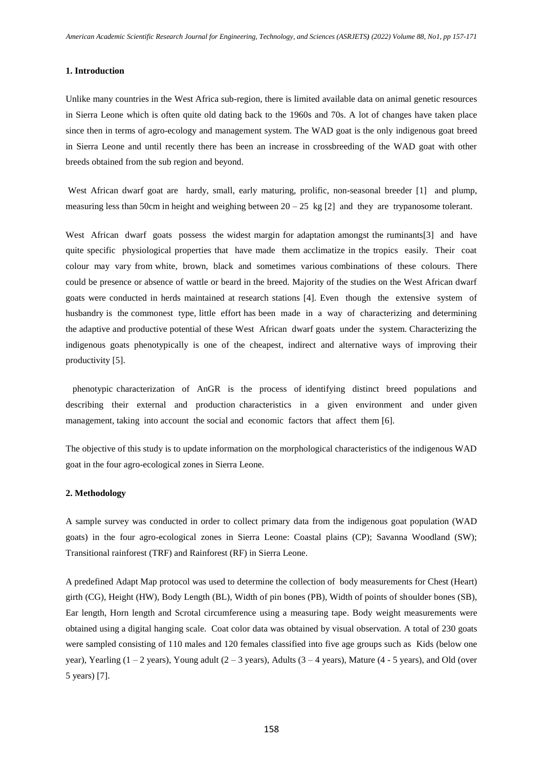## **1. Introduction**

Unlike many countries in the West Africa sub-region, there is limited available data on animal genetic resources in Sierra Leone which is often quite old dating back to the 1960s and 70s. A lot of changes have taken place since then in terms of agro-ecology and management system. The WAD goat is the only indigenous goat breed in Sierra Leone and until recently there has been an increase in crossbreeding of the WAD goat with other breeds obtained from the sub region and beyond.

West African dwarf goat are hardy, small, early maturing, prolific, non-seasonal breeder [1] and plump, measuring less than 50cm in height and weighing between  $20 - 25 \text{ kg} [2]$  and they are trypanosome tolerant.

West African dwarf goats possess the widest margin for adaptation amongst the ruminants[3] and have quite specific physiological properties that have made them acclimatize in the tropics easily. Their coat colour may vary from white, brown, black and sometimes various combinations of these colours. There could be presence or absence of wattle or beard in the breed. Majority of the studies on the West African dwarf goats were conducted in herds maintained at research stations [4]. Even though the extensive system of husbandry is the commonest type, little effort has been made in a way of characterizing and determining the adaptive and productive potential of these West African dwarf goats under the system. Characterizing the indigenous goats phenotypically is one of the cheapest, indirect and alternative ways of improving their productivity [5].

 phenotypic characterization of AnGR is the process of identifying distinct breed populations and describing their external and production characteristics in a given environment and under given management, taking into account the social and economic factors that affect them [6].

The objective of this study is to update information on the morphological characteristics of the indigenous WAD goat in the four agro-ecological zones in Sierra Leone.

## **2. Methodology**

A sample survey was conducted in order to collect primary data from the indigenous goat population (WAD goats) in the four agro-ecological zones in Sierra Leone: Coastal plains (CP); Savanna Woodland (SW); Transitional rainforest (TRF) and Rainforest (RF) in Sierra Leone.

A predefined Adapt Map protocol was used to determine the collection of body measurements for Chest (Heart) girth (CG), Height (HW), Body Length (BL), Width of pin bones (PB), Width of points of shoulder bones (SB), Ear length, Horn length and Scrotal circumference using a measuring tape. Body weight measurements were obtained using a digital hanging scale. Coat color data was obtained by visual observation. A total of 230 goats were sampled consisting of 110 males and 120 females classified into five age groups such as Kids (below one year), Yearling  $(1 – 2$  years), Young adult  $(2 – 3$  years), Adults  $(3 – 4$  years), Mature  $(4 – 5$  years), and Old (over 5 years) [7].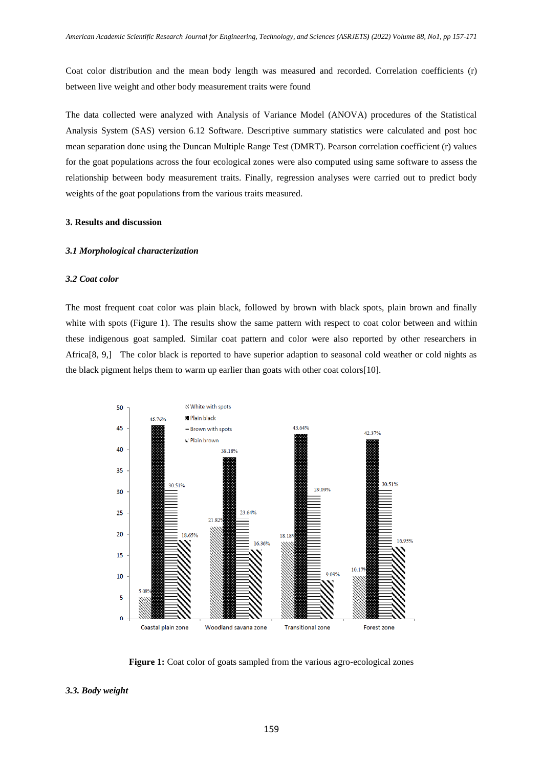Coat color distribution and the mean body length was measured and recorded. Correlation coefficients (r) between live weight and other body measurement traits were found

The data collected were analyzed with Analysis of Variance Model (ANOVA) procedures of the Statistical Analysis System (SAS) version 6.12 Software. Descriptive summary statistics were calculated and post hoc mean separation done using the Duncan Multiple Range Test (DMRT). Pearson correlation coefficient (r) values for the goat populations across the four ecological zones were also computed using same software to assess the relationship between body measurement traits. Finally, regression analyses were carried out to predict body weights of the goat populations from the various traits measured.

## **3. Results and discussion**

#### *3.1 Morphological characterization*

## *3.2 Coat color*

The most frequent coat color was plain black, followed by brown with black spots, plain brown and finally white with spots (Figure 1). The results show the same pattern with respect to coat color between and within these indigenous goat sampled. Similar coat pattern and color were also reported by other researchers in Africa[8, 9,] The color black is reported to have superior adaption to seasonal cold weather or cold nights as the black pigment helps them to warm up earlier than goats with other coat colors[10].



**Figure 1:** Coat color of goats sampled from the various agro-ecological zones

### *3.3. Body weight*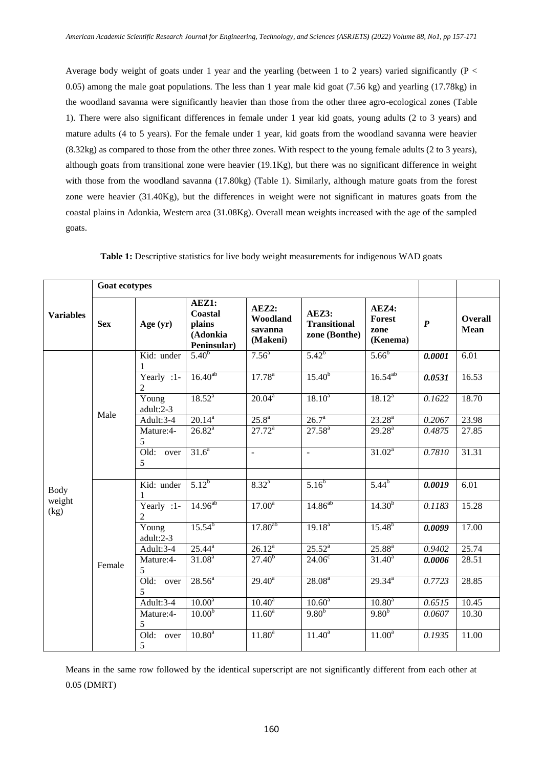Average body weight of goats under 1 year and the yearling (between 1 to 2 years) varied significantly (P < 0.05) among the male goat populations. The less than 1 year male kid goat (7.56 kg) and yearling (17.78kg) in the woodland savanna were significantly heavier than those from the other three agro-ecological zones (Table 1). There were also significant differences in female under 1 year kid goats, young adults (2 to 3 years) and mature adults (4 to 5 years). For the female under 1 year, kid goats from the woodland savanna were heavier (8.32kg) as compared to those from the other three zones. With respect to the young female adults (2 to 3 years), although goats from transitional zone were heavier (19.1Kg), but there was no significant difference in weight with those from the woodland savanna (17.80kg) (Table 1). Similarly, although mature goats from the forest zone were heavier (31.40Kg), but the differences in weight were not significant in matures goats from the coastal plains in Adonkia, Western area (31.08Kg). Overall mean weights increased with the age of the sampled goats.

| <b>Variables</b> | <b>Goat ecotypes</b> |                              |                                                       |                                          |                                               |                                     |                  |                        |
|------------------|----------------------|------------------------------|-------------------------------------------------------|------------------------------------------|-----------------------------------------------|-------------------------------------|------------------|------------------------|
|                  | <b>Sex</b>           | Age $(yr)$                   | AEZ1:<br>Coastal<br>plains<br>(Adonkia<br>Peninsular) | AEZ2:<br>Woodland<br>savanna<br>(Makeni) | AEZ3:<br><b>Transitional</b><br>zone (Bonthe) | AEZ4:<br>Forest<br>zone<br>(Kenema) | $\boldsymbol{P}$ | Overall<br><b>Mean</b> |
|                  |                      | Kid: under<br>1              | $5.40^{b}$                                            | $7.56^{\circ}$                           | $5.42^{b}$                                    | $5.66^{b}$                          | 0.0001           | $\overline{6.01}$      |
|                  |                      | Yearly :1-<br>$\overline{c}$ | $16.40^{ab}$                                          | $17.78^{a}$                              | $15.40^{b}$                                   | $16.54^{ab}$                        | 0.0531           | 16.53                  |
|                  |                      | Young<br>adult:2-3           | $18.52^{a}$                                           | $20.04^a$                                | $18.10^{a}$                                   | $18.12^{a}$                         | 0.1622           | 18.70                  |
|                  | Male                 | Adult:3-4                    | $20.14^{a}$                                           | $25.8^{\circ}$                           | $26.7^{\circ}$                                | $23.28^{a}$                         | 0.2067           | 23.98                  |
|                  |                      | Mature:4-<br>5               | $26.82^a$                                             | $27.72^a$                                | $27.58^{a}$                                   | $29.28^{\rm a}$                     | 0.4875           | 27.85                  |
|                  |                      | $\overline{Old:}$ over<br>5  | $31.6^a$                                              | $\frac{1}{2}$                            | $\Box$                                        | $31.02^a$                           | 0.7810           | 31.31                  |
|                  |                      |                              |                                                       |                                          |                                               |                                     |                  |                        |
| <b>Body</b>      |                      | Kid: under                   | $5.12^{b}$                                            | $8.32^{a}$                               | $5.16^{b}$                                    | $5.44^{b}$                          | 0.0019           | 6.01                   |
| weight<br>(kg)   |                      | Yearly :1-<br>2              | $14.96^{ab}$                                          | $17.00^a$                                | $14.86^{ab}$                                  | $14.30^{b}$                         | 0.1183           | 15.28                  |
|                  |                      | Young<br>adult:2-3           | $15.54^{b}$                                           | $17.80^{ab}$                             | $19.18^{a}$                                   | $15.48^{b}$                         | 0.0099           | 17.00                  |
|                  |                      | Adult:3-4                    | $25.44^{\rm a}$                                       | $26.12^{a}$                              | $25.52^{a}$                                   | $25.88^{a}$                         | 0.9402           | 25.74                  |
|                  | Female               | Mature:4-<br>5               | $31.08^{a}$                                           | $27.\overline{40}^{b}$                   | $24.06^{\circ}$                               | $31.40^a$                           | 0.0006           | 28.51                  |
|                  |                      | Old: over<br>5               | $28.56^a$                                             | $29.40^a$                                | $28.08^{a}$                                   | $29.34^{a}$                         | 0.7723           | 28.85                  |
|                  |                      | Adult:3-4                    | $10.00^a$                                             | $10.40^a$                                | $10.60^a$                                     | 10.80 <sup>a</sup>                  | 0.6515           | 10.45                  |
|                  |                      | Mature:4-<br>5               | 10.00 <sup>b</sup>                                    | $11.60^a$                                | $9.80^{b}$                                    | 9.80 <sup>b</sup>                   | 0.0607           | 10.30                  |
|                  |                      | Old: over<br>5               | $10.80^{a}$                                           | $11.80^{a}$                              | $11.40^a$                                     | $11.00^a$                           | 0.1935           | 11.00                  |

**Table 1:** Descriptive statistics for live body weight measurements for indigenous WAD goats

Means in the same row followed by the identical superscript are not significantly different from each other at 0.05 (DMRT)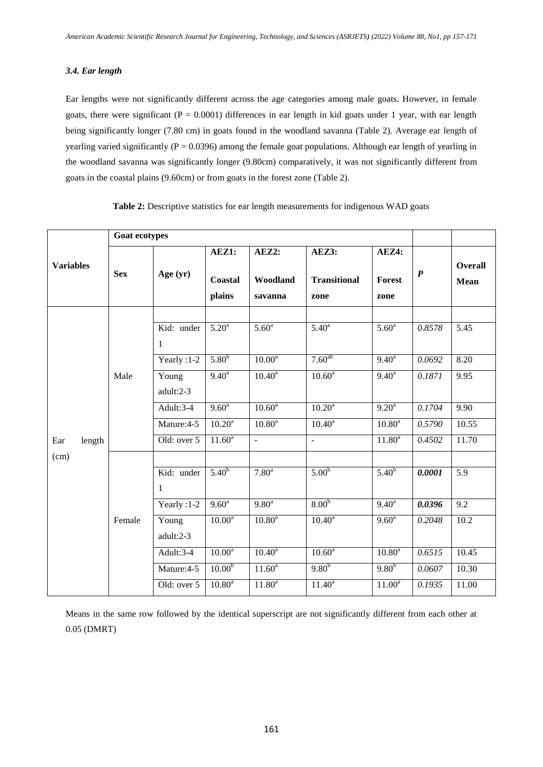# *3.4. Ear length*

Ear lengths were not significantly different across the age categories among male goats. However, in female goats, there were significant ( $P = 0.0001$ ) differences in ear length in kid goats under 1 year, with ear length being significantly longer (7.80 cm) in goats found in the woodland savanna (Table 2). Average ear length of yearling varied significantly ( $P = 0.0396$ ) among the female goat populations. Although ear length of yearling in the woodland savanna was significantly longer (9.80cm) comparatively, it was not significantly different from goats in the coastal plains (9.60cm) or from goats in the forest zone (Table 2).

|                  | <b>Goat ecotypes</b> |                            |                            |                              |                                      |                         |                  |                               |
|------------------|----------------------|----------------------------|----------------------------|------------------------------|--------------------------------------|-------------------------|------------------|-------------------------------|
| <b>Variables</b> | <b>Sex</b>           | Age $(yr)$                 | AEZ1:<br>Coastal<br>plains | AEZ2:<br>Woodland<br>savanna | AEZ3:<br><b>Transitional</b><br>zone | AEZ4:<br>Forest<br>zone | $\boldsymbol{P}$ | <b>Overall</b><br><b>Mean</b> |
|                  |                      | Kid: under<br>1            | $5.20^{\circ}$             | 5.60 <sup>a</sup>            | 5.40 <sup>a</sup>                    | 5.60 <sup>a</sup>       | 0.8578           | 5.45                          |
|                  |                      | Yearly: 1-2                | 5.80 <sup>b</sup>          | $10.00^{\circ}$              | $7.60^{ab}$                          | $9.40^{a}$              | 0.0692           | 8.20                          |
|                  | Male                 | Young<br>adult:2-3         | $9.40^{\circ}$             | $10.40^{\circ}$              | $10.60^{\circ}$                      | $9.40^{\circ}$          | 0.1871           | 9.95                          |
|                  |                      | Adult:3-4                  | $9.60^{\circ}$             | $10.60^{\circ}$              | $10.20^a$                            | $9.20^{\circ}$          | 0.1704           | 9.90                          |
|                  |                      | Mature: 4-5                | $10.20^a$                  | $10.80^{\circ}$              | $10.40^{a}$                          | $10.80^{\rm a}$         | 0.5790           | 10.55                         |
| Ear<br>length    |                      | Old: over $5$              | $11.60^a$                  | $\overline{a}$               | $\sim$                               | $11.80^a$               | 0.4502           | 11.70                         |
| (cm)             |                      |                            |                            |                              |                                      |                         |                  |                               |
|                  |                      | Kid: under<br>$\mathbf{1}$ | $5.40^{b}$                 | 7.80 <sup>a</sup>            | 5.00 <sup>b</sup>                    | $5.40^{b}$              | 0.0001           | 5.9                           |
|                  |                      | Yearly :1-2                | $9.60^{\circ}$             | $9.80^{\text{a}}$            | 8.00 <sup>b</sup>                    | $9.40^a$                | 0.0396           | 9.2                           |
|                  | Female               | Young<br>adult:2-3         | $10.00^{\circ}$            | $10.80^{\circ}$              | $10.40^{\circ}$                      | $9.60^{\circ}$          | 0.2048           | 10.2                          |
|                  |                      | Adult:3-4                  | $10.00^a$                  | $10.40^{\circ}$              | $10.60^{\circ}$                      | $10.80^{\circ}$         | 0.6515           | 10.45                         |
|                  |                      | Mature: 4-5                | 10.00 <sup>b</sup>         | $11.60^a$                    | $9.80^{b}$                           | $9.80^{b}$              | 0.0607           | 10.30                         |
|                  |                      | Old: over 5                | 10.80 <sup>a</sup>         | $11.80^{a}$                  | $11.40^a$                            | $11.00^{\overline{a}}$  | 0.1935           | 11.00                         |

**Table 2:** Descriptive statistics for ear length measurements for indigenous WAD goats

Means in the same row followed by the identical superscript are not significantly different from each other at 0.05 (DMRT)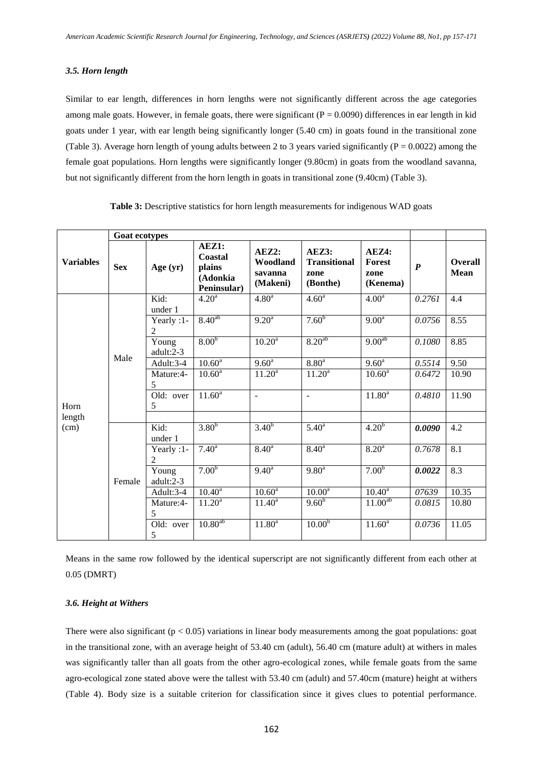## *3.5. Horn length*

Similar to ear length, differences in horn lengths were not significantly different across the age categories among male goats. However, in female goats, there were significant ( $P = 0.0090$ ) differences in ear length in kid goats under 1 year, with ear length being significantly longer (5.40 cm) in goats found in the transitional zone (Table 3). Average horn length of young adults between 2 to 3 years varied significantly ( $P = 0.0022$ ) among the female goat populations. Horn lengths were significantly longer (9.80cm) in goats from the woodland savanna, but not significantly different from the horn length in goats in transitional zone (9.40cm) (Table 3).

|                  | Goat ecotypes |                              |                                                       |                                          |                                                  |                                            |                  |                               |
|------------------|---------------|------------------------------|-------------------------------------------------------|------------------------------------------|--------------------------------------------------|--------------------------------------------|------------------|-------------------------------|
| <b>Variables</b> | <b>Sex</b>    | Age $(yr)$                   | AEZ1:<br>Coastal<br>plains<br>(Adonkia<br>Peninsular) | AEZ2:<br>Woodland<br>savanna<br>(Makeni) | AEZ3:<br><b>Transitional</b><br>zone<br>(Bonthe) | AEZ4:<br><b>Forest</b><br>zone<br>(Kenema) | $\boldsymbol{P}$ | <b>Overall</b><br><b>Mean</b> |
|                  |               | Kid:<br>under 1              | 4.20 <sup>a</sup>                                     | 4.80 <sup>a</sup>                        | 4.60 <sup>a</sup>                                | $4.00^{\rm a}$                             | 0.2761           | 4.4                           |
|                  |               | Yearly :1-<br>$\overline{c}$ | $8.40^{ab}$                                           | $9.20^{\text{a}}$                        | 7.60 <sup>b</sup>                                | $9.00^{\text{a}}$                          | 0.0756           | 8.55                          |
|                  | Male          | Young<br>adult:2-3           | 8.00 <sup>b</sup>                                     | $10.20^a$                                | 8.20 <sup>ab</sup>                               | $9.00^{ab}$                                | 0.1080           | 8.85                          |
|                  |               | Adult:3-4                    | $10.60^{\circ}$                                       | $9.60^{\circ}$                           | 8.80 <sup>a</sup>                                | $9.60^{\circ}$                             | 0.5514           | 9.50                          |
|                  |               | Mature:4-<br>5               | $10.60^{\rm a}$                                       | $11.20^{\overline{a}}$                   | $11.20^a$                                        | $10.60^{\rm a}$                            | 0.6472           | 10.90                         |
| Horn             |               | Old: over<br>5               | $11.60^a$                                             | $\blacksquare$                           | $\overline{\phantom{a}}$                         | $11.80^a$                                  | 0.4810           | 11.90                         |
| length           |               |                              |                                                       |                                          |                                                  |                                            |                  |                               |
| (cm)             |               | Kid:<br>under 1              | 3.80 <sup>b</sup>                                     | 3.40 <sup>b</sup>                        | 5.40 <sup>a</sup>                                | 4.20 <sup>b</sup>                          | 0.0090           | 4.2                           |
|                  |               | Yearly :1-<br>2              | $7.40^{\circ}$                                        | $8.40^{a}$                               | $8.40^{a}$                                       | 8.20 <sup>a</sup>                          | 0.7678           | 8.1                           |
|                  | Female        | Young<br>adult:2-3           | 7.00 <sup>b</sup>                                     | $9.40^{\circ}$                           | $9.80^{a}$                                       | 7.00 <sup>b</sup>                          | 0.0022           | $\overline{8.3}$              |
|                  |               | Adult:3-4                    | $10.40^{\rm a}$                                       | $10.60^{\text{a}}$                       | $10.00^{\overline{a}}$                           | $10.40^{\rm a}$                            | 07639            | 10.35                         |
|                  |               | Mature:4-<br>5               | $11.20^a$                                             | $11.40^a$                                | 9.60 <sup>b</sup>                                | 11.00 <sup>ab</sup>                        | 0.0815           | 10.80                         |
|                  |               | Old: over<br>5               | 10.80 <sup>ab</sup>                                   | $11.80^a$                                | 10.00 <sup>b</sup>                               | $11.60^{\circ}$                            | 0.0736           | 11.05                         |

**Table 3:** Descriptive statistics for horn length measurements for indigenous WAD goats

Means in the same row followed by the identical superscript are not significantly different from each other at 0.05 (DMRT)

## *3.6. Height at Withers*

There were also significant ( $p < 0.05$ ) variations in linear body measurements among the goat populations: goat in the transitional zone, with an average height of 53.40 cm (adult), 56.40 cm (mature adult) at withers in males was significantly taller than all goats from the other agro-ecological zones, while female goats from the same agro-ecological zone stated above were the tallest with 53.40 cm (adult) and 57.40cm (mature) height at withers (Table 4). Body size is a suitable criterion for classification since it gives clues to potential performance.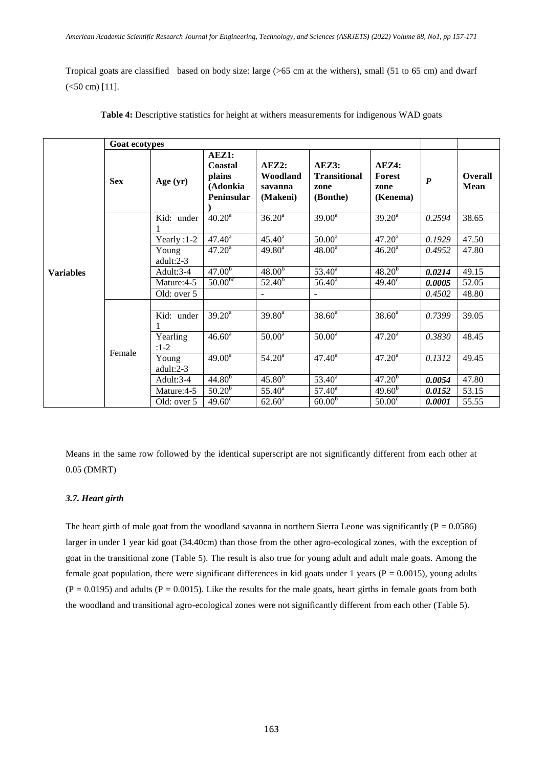Tropical goats are classified based on body size: large (>65 cm at the withers), small (51 to 65 cm) and dwarf  $(<50 cm)$  [11].

|                  | <b>Goat ecotypes</b> |                    |                                                             |                                          |                                                  |                                            |                  |                               |
|------------------|----------------------|--------------------|-------------------------------------------------------------|------------------------------------------|--------------------------------------------------|--------------------------------------------|------------------|-------------------------------|
|                  | <b>Sex</b>           | Age $(yr)$         | AEZ1:<br>Coastal<br>plains<br>(Adonkia<br><b>Peninsular</b> | AEZ2:<br>Woodland<br>savanna<br>(Makeni) | AEZ3:<br><b>Transitional</b><br>zone<br>(Bonthe) | AEZ4:<br><b>Forest</b><br>zone<br>(Kenema) | $\boldsymbol{P}$ | <b>Overall</b><br><b>Mean</b> |
|                  |                      | Kid: under         | $40.20^a$                                                   | 36.20 <sup>a</sup>                       | $39.00^a$                                        | $39.20^a$                                  | 0.2594           | 38.65                         |
|                  |                      | Yearly $:1-2$      | $47.40^a$                                                   | $45.40^{\circ}$                          | $50.00^{\rm a}$                                  | 47.20 <sup>a</sup>                         | 0.1929           | 47.50                         |
|                  |                      | Young<br>adult:2-3 | $47.20^{\rm a}$                                             | $49.80^a$                                | $48.00^a$                                        | $46.20^a$                                  | 0.4952           | 47.80                         |
| <b>Variables</b> |                      | Adult:3-4          | $47.\overline{00^b}$                                        | 48.00 <sup>b</sup>                       | $53.40^{\rm a}$                                  | $48.20^{b}$                                | 0.0214           | 49.15                         |
|                  |                      | Mature:4-5         | $50.00^{bc}$                                                | $52.40^{b}$                              | $56.40^{\circ}$                                  | $49.40^{\circ}$                            | 0.0005           | 52.05                         |
|                  |                      | Old: over 5        |                                                             | $\overline{\phantom{a}}$                 |                                                  |                                            | 0.4502           | 48.80                         |
|                  |                      | Kid: under         | $39.20^a$                                                   | $39.80^a$                                | $38.60^a$                                        | $38.60^a$                                  | 0.7399           | 39.05                         |
|                  |                      |                    |                                                             |                                          |                                                  |                                            |                  |                               |
|                  |                      | Yearling<br>$:1-2$ | $46.60^{\rm a}$                                             | 50.00 <sup>a</sup>                       | 50.00 <sup>a</sup>                               | $47.20^{\rm a}$                            | 0.3830           | 48.45                         |
|                  | Female               | Young<br>adult:2-3 | $49.00^a$                                                   | 54.20 <sup>a</sup>                       | $47.40^{\circ}$                                  | $47.20^{\rm a}$                            | 0.1312           | 49.45                         |
|                  |                      | Adult:3-4          | $44.80^{b}$                                                 | $45.80^{b}$                              | $53.40^a$                                        | $47.20^{b}$                                | 0.0054           | 47.80                         |
|                  |                      | Mature:4-5         | $50.20^{b}$                                                 | $55.40^{\circ}$                          | $57.40^{\rm a}$                                  | $49.60^{b}$                                | 0.0152           | 53.15                         |
|                  |                      | Old: over 5        | $49.60^{\circ}$                                             | $62.60^a$                                | 60.00 <sup>b</sup>                               | $50.00^{\circ}$                            | 0.0001           | 55.55                         |

**Table 4:** Descriptive statistics for height at withers measurements for indigenous WAD goats

Means in the same row followed by the identical superscript are not significantly different from each other at 0.05 (DMRT)

## *3.7. Heart girth*

The heart girth of male goat from the woodland savanna in northern Sierra Leone was significantly ( $P = 0.0586$ ) larger in under 1 year kid goat (34.40cm) than those from the other agro-ecological zones, with the exception of goat in the transitional zone (Table 5). The result is also true for young adult and adult male goats. Among the female goat population, there were significant differences in kid goats under 1 years ( $P = 0.0015$ ), young adults  $(P = 0.0195)$  and adults  $(P = 0.0015)$ . Like the results for the male goats, heart girths in female goats from both the woodland and transitional agro-ecological zones were not significantly different from each other (Table 5).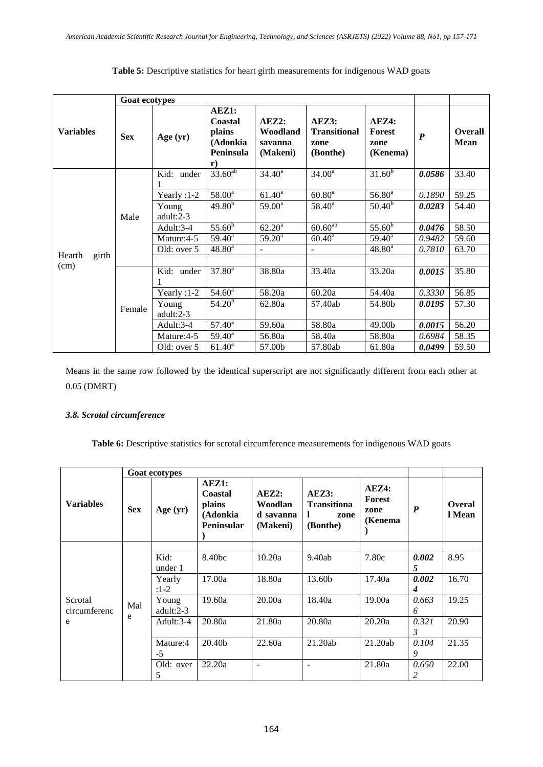|                  | <b>Goat ecotypes</b> |                       |                                                                             |                                          |                                                  |                                            |                  |                        |
|------------------|----------------------|-----------------------|-----------------------------------------------------------------------------|------------------------------------------|--------------------------------------------------|--------------------------------------------|------------------|------------------------|
| <b>Variables</b> | <b>Sex</b>           | Age $(yr)$            | AEZ1:<br>Coastal<br>plains<br>(Adonkia<br><b>Peninsula</b><br>$\mathbf{r})$ | AEZ2:<br>Woodland<br>savanna<br>(Makeni) | AEZ3:<br><b>Transitional</b><br>zone<br>(Bonthe) | AEZ4:<br><b>Forest</b><br>zone<br>(Kenema) | $\boldsymbol{P}$ | Overall<br><b>Mean</b> |
|                  |                      | Kid: under            | $33.60^{ab}$                                                                | $34.40^a$                                | $34.00^a$                                        | $31.\overline{60}^{\mathrm{b}}$            | 0.0586           | 33.40                  |
|                  | Male                 | Yearly $:1-2$         | 58.00 <sup>a</sup>                                                          | $61.40^a$                                | $60.80^a$                                        | $56.80^{a}$                                | 0.1890           | 59.25                  |
|                  |                      | Young<br>adult: $2-3$ | $49.80^{b}$                                                                 | $59.00^{\rm a}$                          | $58.40^a$                                        | $50.40^{b}$                                | 0.0283           | 54.40                  |
|                  |                      | Adult:3-4             | $55.\overline{60}^{\overline{b}}$                                           | $62.20^a$                                | $60.\overline{60}^{ab}$                          | $55.\overline{60}^{\overline{b}}$          | 0.0476           | 58.50                  |
|                  |                      | Mature:4-5            | $59.40^{\circ}$                                                             | $59.20^{\circ}$                          | $60.40^{\rm a}$                                  | $59.40^{\circ}$                            | 0.9482           | 59.60                  |
| Hearth<br>girth  |                      | Old: over 5           | $48.80^a$                                                                   | $\blacksquare$                           | $\blacksquare$                                   | $48.80^a$                                  | 0.7810           | 63.70                  |
| (cm)             |                      |                       |                                                                             |                                          |                                                  |                                            |                  |                        |
|                  |                      | Kid: under            | $37.80^a$                                                                   | 38.80a                                   | 33.40a                                           | 33.20a                                     | 0.0015           | 35.80                  |
|                  |                      | Yearly $:1-2$         | $54.60^{\rm a}$                                                             | 58.20a                                   | 60.20a                                           | 54.40a                                     | 0.3330           | 56.85                  |
|                  | Female               | Young<br>adult:2-3    | 54.20 <sup>b</sup>                                                          | 62.80a                                   | 57.40ab                                          | 54.80b                                     | 0.0195           | 57.30                  |
|                  |                      | Adult:3-4             | $57.40^{\circ}$                                                             | 59.60a                                   | 58.80a                                           | 49.00b                                     | 0.0015           | 56.20                  |
|                  |                      | Mature:4-5            | $59.40^{\circ}$                                                             | 56.80a                                   | 58.40a                                           | 58.80a                                     | 0.6984           | 58.35                  |
|                  |                      | Old: over 5           | $61.40^a$                                                                   | 57.00b                                   | 57.80ab                                          | 61.80a                                     | 0.0499           | 59.50                  |

# Table 5: Descriptive statistics for heart girth measurements for indigenous WAD goats

Means in the same row followed by the identical superscript are not significantly different from each other at 0.05 (DMRT)

# *3.8. Scrotal circumference*

Table 6: Descriptive statistics for scrotal circumference measurements for indigenous WAD goats

|                         | <b>Goat ecotypes</b> |                    |                                                             |                                           |                                                      |                                           |                           |                         |
|-------------------------|----------------------|--------------------|-------------------------------------------------------------|-------------------------------------------|------------------------------------------------------|-------------------------------------------|---------------------------|-------------------------|
| <b>Variables</b>        | <b>Sex</b>           | Age (yr)           | AEZ1:<br>Coastal<br>plains<br>(Adonkia<br><b>Peninsular</b> | AEZ2:<br>Woodlan<br>d savanna<br>(Makeni) | AEZ3:<br><b>Transitiona</b><br>L<br>zone<br>(Bonthe) | AEZ4:<br><b>Forest</b><br>zone<br>(Kenema | $\boldsymbol{P}$          | <b>Overal</b><br>l Mean |
|                         | Mal<br>e             | Kid:<br>under 1    | 8.40bc                                                      | 10.20a                                    | 9.40ab                                               | 7.80c                                     | 0.002<br>5                | 8.95                    |
|                         |                      | Yearly<br>$:1-2$   | 17.00a                                                      | 18.80a                                    | 13.60b                                               | 17.40a                                    | 0.002<br>$\boldsymbol{4}$ | 16.70                   |
| Scrotal<br>circumferenc |                      | Young<br>adult:2-3 | 19.60a                                                      | 20.00a                                    | 18.40a                                               | 19.00a                                    | 0.663<br>6                | 19.25                   |
| e                       |                      | Adult: $3-4$       | 20.80a                                                      | 21.80a                                    | 20.80a                                               | 20.20a                                    | 0.321<br>$\mathfrak{Z}$   | 20.90                   |
|                         |                      | Mature:4<br>$-5$   | 20.40b                                                      | 22.60a                                    | 21.20ab                                              | 21.20ab                                   | 0.104<br>9                | 21.35                   |
|                         |                      | Old: over<br>5     | 22.20a                                                      |                                           |                                                      | 21.80a                                    | 0.650<br>2                | 22.00                   |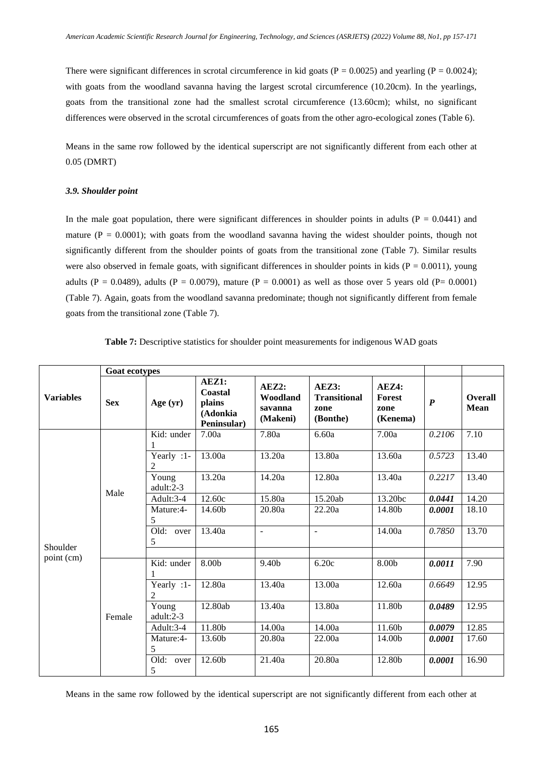There were significant differences in scrotal circumference in kid goats ( $P = 0.0025$ ) and yearling ( $P = 0.0024$ ); with goats from the woodland savanna having the largest scrotal circumference (10.20cm). In the yearlings, goats from the transitional zone had the smallest scrotal circumference (13.60cm); whilst, no significant differences were observed in the scrotal circumferences of goats from the other agro-ecological zones (Table 6).

Means in the same row followed by the identical superscript are not significantly different from each other at 0.05 (DMRT)

#### *3.9. Shoulder point*

In the male goat population, there were significant differences in shoulder points in adults ( $P = 0.0441$ ) and mature ( $P = 0.0001$ ); with goats from the woodland savanna having the widest shoulder points, though not significantly different from the shoulder points of goats from the transitional zone (Table 7). Similar results were also observed in female goats, with significant differences in shoulder points in kids ( $P = 0.0011$ ), young adults (P = 0.0489), adults (P = 0.0079), mature (P = 0.0001) as well as those over 5 years old (P= 0.0001) (Table 7). Again, goats from the woodland savanna predominate; though not significantly different from female goats from the transitional zone (Table 7).

|                  | <b>Goat ecotypes</b> |                              |                                                       |                                          |                                                  |                                     |                  |                        |
|------------------|----------------------|------------------------------|-------------------------------------------------------|------------------------------------------|--------------------------------------------------|-------------------------------------|------------------|------------------------|
| <b>Variables</b> | <b>Sex</b>           | Age $(yr)$                   | AEZ1:<br>Coastal<br>plains<br>(Adonkia<br>Peninsular) | AEZ2:<br>Woodland<br>savanna<br>(Makeni) | AEZ3:<br><b>Transitional</b><br>zone<br>(Bonthe) | AEZ4:<br>Forest<br>zone<br>(Kenema) | $\boldsymbol{P}$ | <b>Overall</b><br>Mean |
|                  |                      | Kid: under                   | 7.00a                                                 | 7.80a                                    | 6.60a                                            | 7.00a                               | 0.2106           | 7.10                   |
|                  | Male                 | Yearly :1-<br>$\mathfrak{D}$ | 13.00a                                                | 13.20a                                   | 13.80a                                           | 13.60a                              | 0.5723           | 13.40                  |
|                  |                      | Young<br>adult:2-3           | 13.20a                                                | 14.20a                                   | 12.80a                                           | 13.40a                              | 0.2217           | 13.40                  |
|                  |                      | Adult:3-4                    | 12.60c                                                | 15.80a                                   | 15.20ab                                          | 13.20bc                             | 0.0441           | 14.20                  |
|                  |                      | Mature:4-<br>5               | 14.60b                                                | 20.80a                                   | 22.20a                                           | 14.80b                              | 0.0001           | 18.10                  |
| Shoulder         |                      | Old: over<br>5               | 13.40a                                                | $\bar{\phantom{a}}$                      | $\blacksquare$                                   | 14.00a                              | 0.7850           | 13.70                  |
| point (cm)       |                      | Kid: under<br>1              | 8.00b                                                 | 9.40b                                    | 6.20c                                            | 8.00b                               | 0.0011           | 7.90                   |
|                  |                      | Yearly $:1$ -<br>2           | 12.80a                                                | 13.40a                                   | 13.00a                                           | 12.60a                              | 0.6649           | 12.95                  |
|                  | Female               | Young<br>adult:2-3           | 12.80ab                                               | 13.40a                                   | 13.80a                                           | 11.80b                              | 0.0489           | 12.95                  |
|                  |                      | Adult:3-4                    | 11.80b                                                | 14.00a                                   | 14.00a                                           | 11.60b                              | 0.0079           | 12.85                  |
|                  |                      | Mature:4-<br>5               | 13.60b                                                | 20.80a                                   | 22.00a                                           | 14.00b                              | 0.0001           | 17.60                  |
|                  |                      | Old: over<br>5               | 12.60b                                                | 21.40a                                   | 20.80a                                           | 12.80b                              | 0.0001           | 16.90                  |

**Table 7:** Descriptive statistics for shoulder point measurements for indigenous WAD goats

Means in the same row followed by the identical superscript are not significantly different from each other at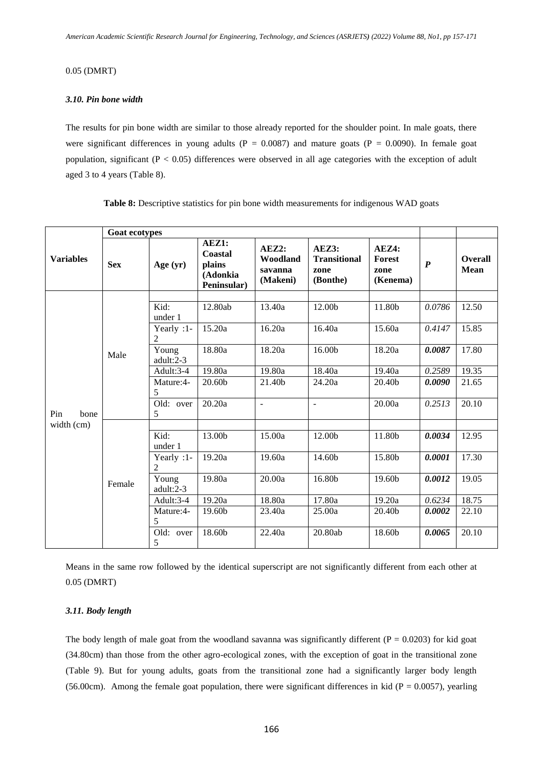## 0.05 (DMRT)

## *3.10. Pin bone width*

The results for pin bone width are similar to those already reported for the shoulder point. In male goats, there were significant differences in young adults ( $P = 0.0087$ ) and mature goats ( $P = 0.0090$ ). In female goat population, significant ( $P < 0.05$ ) differences were observed in all age categories with the exception of adult aged 3 to 4 years (Table 8).

|                  | <b>Goat ecotypes</b> |                    |                                                       |                                          |                                                  |                                            |                  |                               |
|------------------|----------------------|--------------------|-------------------------------------------------------|------------------------------------------|--------------------------------------------------|--------------------------------------------|------------------|-------------------------------|
| <b>Variables</b> | <b>Sex</b>           | Age $(yr)$         | AEZ1:<br>Coastal<br>plains<br>(Adonkia<br>Peninsular) | AEZ2:<br>Woodland<br>savanna<br>(Makeni) | AEZ3:<br><b>Transitional</b><br>zone<br>(Bonthe) | AEZ4:<br><b>Forest</b><br>zone<br>(Kenema) | $\boldsymbol{P}$ | <b>Overall</b><br><b>Mean</b> |
|                  |                      |                    |                                                       |                                          |                                                  |                                            |                  |                               |
|                  |                      | Kid:<br>under 1    | 12.80ab                                               | 13.40a                                   | 12.00b                                           | 11.80b                                     | 0.0786           | 12.50                         |
|                  | Male                 | Yearly :1-<br>2    | 15.20a                                                | 16.20a                                   | 16.40a                                           | 15.60a                                     | 0.4147           | 15.85                         |
|                  |                      | Young<br>adult:2-3 | 18.80a                                                | 18.20a                                   | 16.00b                                           | 18.20a                                     | 0.0087           | 17.80                         |
|                  |                      | Adult:3-4          | 19.80a                                                | 19.80a                                   | 18.40a                                           | 19.40a                                     | 0.2589           | 19.35                         |
|                  |                      | Mature:4-<br>5     | 20.60b                                                | 21.40b                                   | 24.20a                                           | 20.40b                                     | 0.0090           | 21.65                         |
| Pin<br>bone      |                      | Old: over<br>5     | 20.20a                                                | $\blacksquare$                           | $\blacksquare$                                   | 20.00a                                     | 0.2513           | 20.10                         |
| width (cm)       |                      |                    |                                                       |                                          |                                                  |                                            |                  |                               |
|                  |                      | Kid:<br>under 1    | 13.00b                                                | 15.00a                                   | 12.00b                                           | 11.80b                                     | 0.0034           | 12.95                         |
|                  |                      | Yearly :1-<br>2    | 19.20a                                                | 19.60a                                   | 14.60b                                           | 15.80b                                     | 0.0001           | 17.30                         |
|                  | Female               | Young<br>adult:2-3 | 19.80a                                                | 20.00a                                   | 16.80b                                           | 19.60b                                     | 0.0012           | 19.05                         |
|                  |                      | Adult:3-4          | 19.20a                                                | 18.80a                                   | 17.80a                                           | 19.20a                                     | 0.6234           | 18.75                         |
|                  |                      | Mature:4-<br>5     | 19.60b                                                | 23.40a                                   | 25.00a                                           | 20.40b                                     | 0.0002           | 22.10                         |
|                  |                      | Old: over<br>5     | 18.60b                                                | 22.40a                                   | 20.80ab                                          | 18.60b                                     | 0.0065           | 20.10                         |

Table 8: Descriptive statistics for pin bone width measurements for indigenous WAD goats

Means in the same row followed by the identical superscript are not significantly different from each other at 0.05 (DMRT)

## *3.11. Body length*

The body length of male goat from the woodland savanna was significantly different ( $P = 0.0203$ ) for kid goat (34.80cm) than those from the other agro-ecological zones, with the exception of goat in the transitional zone (Table 9). But for young adults, goats from the transitional zone had a significantly larger body length (56.00cm). Among the female goat population, there were significant differences in kid ( $P = 0.0057$ ), yearling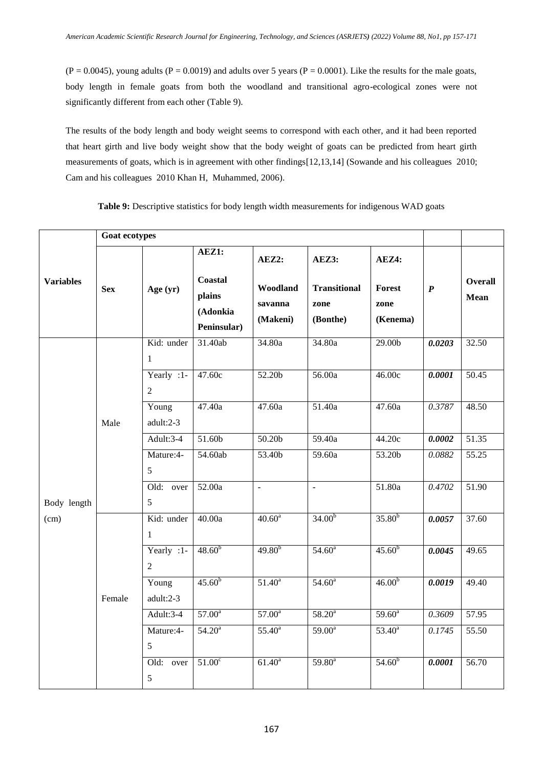$(P = 0.0045)$ , young adults  $(P = 0.0019)$  and adults over 5 years  $(P = 0.0001)$ . Like the results for the male goats, body length in female goats from both the woodland and transitional agro-ecological zones were not significantly different from each other (Table 9).

The results of the body length and body weight seems to correspond with each other, and it had been reported that heart girth and live body weight show that the body weight of goats can be predicted from heart girth measurements of goats, which is in agreement with other findings[12,13,14] (Sowande and his colleagues 2010; Cam and his colleagues 2010 Khan H, Muhammed, 2006).

|                  | Goat ecotypes |                              |                                                       |                                          |                                                  |                                            |                  |                               |
|------------------|---------------|------------------------------|-------------------------------------------------------|------------------------------------------|--------------------------------------------------|--------------------------------------------|------------------|-------------------------------|
| <b>Variables</b> | <b>Sex</b>    | Age $(yr)$                   | AEZ1:<br>Coastal<br>plains<br>(Adonkia<br>Peninsular) | AEZ2:<br>Woodland<br>savanna<br>(Makeni) | AEZ3:<br><b>Transitional</b><br>zone<br>(Bonthe) | AEZ4:<br><b>Forest</b><br>zone<br>(Kenema) | $\boldsymbol{P}$ | <b>Overall</b><br><b>Mean</b> |
|                  |               | Kid: under<br>$\mathbf{1}$   | 31.40ab                                               | 34.80a                                   | 34.80a                                           | 29.00 <sub>b</sub>                         | 0.0203           | 32.50                         |
|                  | Male          | Yearly :1-<br>$\overline{2}$ | 47.60c                                                | 52.20b                                   | 56.00a                                           | 46.00c                                     | 0.0001           | 50.45                         |
|                  |               | Young<br>adult:2-3           | 47.40a                                                | 47.60a                                   | 51.40a                                           | 47.60a                                     | 0.3787           | 48.50                         |
|                  |               | Adult:3-4                    | 51.60b                                                | 50.20b                                   | 59.40a                                           | 44.20c                                     | 0.0002           | 51.35                         |
|                  |               | Mature:4-<br>5               | 54.60ab                                               | 53.40b                                   | 59.60a                                           | 53.20b                                     | 0.0882           | 55.25                         |
| Body length      |               | Old: over<br>5               | 52.00a                                                | $\overline{a}$                           | $\Box$                                           | 51.80a                                     | 0.4702           | 51.90                         |
| (cm)             |               | Kid: under<br>$\mathbf{1}$   | 40.00a                                                | $40.60^{\circ}$                          | $34.00^{b}$                                      | $35.80^{b}$                                | 0.0057           | 37.60                         |
|                  |               | Yearly :1-<br>$\overline{2}$ | $48.60^{b}$                                           | $49.80^{b}$                              | $54.60^{\circ}$                                  | $45.60^{b}$                                | 0.0045           | 49.65                         |
|                  | Female        | Young<br>adult:2-3           | $45.60^{b}$                                           | $51.40^a$                                | $54.60^{\circ}$                                  | $46.00^{b}$                                | 0.0019           | 49.40                         |
|                  |               | Adult:3-4                    | $57.00^{\circ}$                                       | $57.00^{\circ}$                          | $58.20^a$                                        | $59.60^{\circ}$                            | 0.3609           | 57.95                         |
|                  |               | Mature:4-<br>5               | $54.20^{\circ}$                                       | $55.40^{\circ}$                          | $59.00^a$                                        | $53.40^a$                                  | 0.1745           | 55.50                         |
|                  |               | $\overline{Old}$ : over<br>5 | $51.00^{\circ}$                                       | $61.40^a$                                | $59.80^{a}$                                      | $54.60^{b}$                                | 0.0001           | 56.70                         |

**Table 9:** Descriptive statistics for body length width measurements for indigenous WAD goats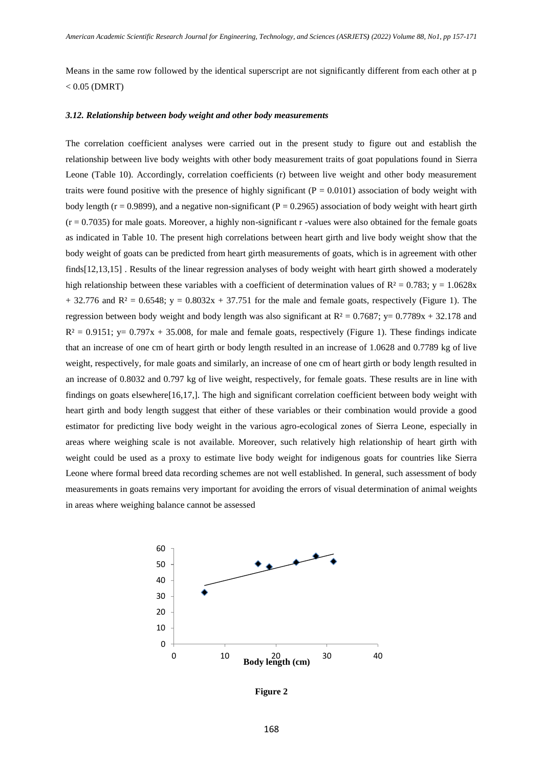Means in the same row followed by the identical superscript are not significantly different from each other at p  $< 0.05$  (DMRT)

## *3.12. Relationship between body weight and other body measurements*

The correlation coefficient analyses were carried out in the present study to figure out and establish the relationship between live body weights with other body measurement traits of goat populations found in Sierra Leone (Table 10). Accordingly, correlation coefficients (r) between live weight and other body measurement traits were found positive with the presence of highly significant ( $P = 0.0101$ ) association of body weight with body length ( $r = 0.9899$ ), and a negative non-significant ( $P = 0.2965$ ) association of body weight with heart girth  $(r = 0.7035)$  for male goats. Moreover, a highly non-significant r-values were also obtained for the female goats as indicated in Table 10. The present high correlations between heart girth and live body weight show that the body weight of goats can be predicted from heart girth measurements of goats, which is in agreement with other finds[12,13,15] . Results of the linear regression analyses of body weight with heart girth showed a moderately high relationship between these variables with a coefficient of determination values of  $R^2 = 0.783$ ; y = 1.0628x  $+ 32.776$  and R<sup>2</sup> = 0.6548; y = 0.8032x + 37.751 for the male and female goats, respectively (Figure 1). The regression between body weight and body length was also significant at  $R^2 = 0.7687$ ; y= 0.7789x + 32.178 and  $R^2 = 0.9151$ ; y= 0.797x + 35.008, for male and female goats, respectively (Figure 1). These findings indicate that an increase of one cm of heart girth or body length resulted in an increase of 1.0628 and 0.7789 kg of live weight, respectively, for male goats and similarly, an increase of one cm of heart girth or body length resulted in an increase of 0.8032 and 0.797 kg of live weight, respectively, for female goats. These results are in line with findings on goats elsewhere[16,17,]. The high and significant correlation coefficient between body weight with heart girth and body length suggest that either of these variables or their combination would provide a good estimator for predicting live body weight in the various agro-ecological zones of Sierra Leone, especially in areas where weighing scale is not available. Moreover, such relatively high relationship of heart girth with weight could be used as a proxy to estimate live body weight for indigenous goats for countries like Sierra Leone where formal breed data recording schemes are not well established. In general, such assessment of body measurements in goats remains very important for avoiding the errors of visual determination of animal weights in areas where weighing balance cannot be assessed



**Figure 2**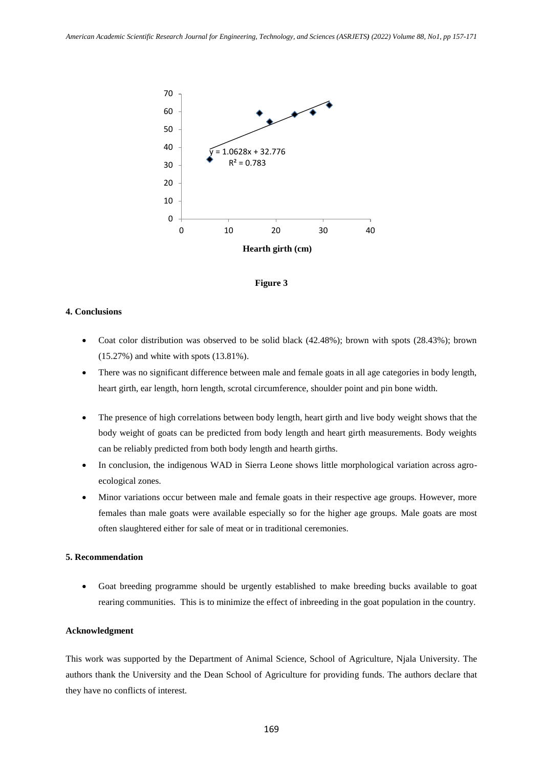



## **4. Conclusions**

- Coat color distribution was observed to be solid black (42.48%); brown with spots (28.43%); brown (15.27%) and white with spots (13.81%).
- There was no significant difference between male and female goats in all age categories in body length, heart girth, ear length, horn length, scrotal circumference, shoulder point and pin bone width.
- The presence of high correlations between body length, heart girth and live body weight shows that the body weight of goats can be predicted from body length and heart girth measurements. Body weights can be reliably predicted from both body length and hearth girths.
- In conclusion, the indigenous WAD in Sierra Leone shows little morphological variation across agroecological zones.
- Minor variations occur between male and female goats in their respective age groups. However, more females than male goats were available especially so for the higher age groups. Male goats are most often slaughtered either for sale of meat or in traditional ceremonies.

## **5. Recommendation**

 Goat breeding programme should be urgently established to make breeding bucks available to goat rearing communities. This is to minimize the effect of inbreeding in the goat population in the country.

## **Acknowledgment**

This work was supported by the Department of Animal Science, School of Agriculture, Njala University. The authors thank the University and the Dean School of Agriculture for providing funds. The authors declare that they have no conflicts of interest.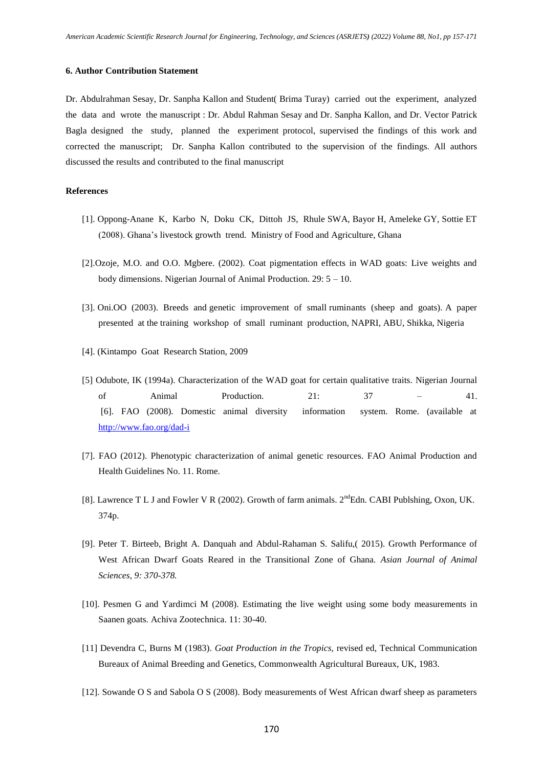#### **6. Author Contribution Statement**

Dr. Abdulrahman Sesay, Dr. Sanpha Kallon and Student( Brima Turay) carried out the experiment, analyzed the data and wrote the manuscript : Dr. Abdul Rahman Sesay and Dr. Sanpha Kallon, and Dr. Vector Patrick Bagla designed the study, planned the experiment protocol, supervised the findings of this work and corrected the manuscript; Dr. Sanpha Kallon contributed to the supervision of the findings. All authors discussed the results and contributed to the final manuscript

#### **References**

- [1]. Oppong-Anane K, Karbo N, Doku CK, Dittoh JS, Rhule SWA, Bayor H, Ameleke GY, Sottie ET (2008). Ghana's livestock growth trend. Ministry of Food and Agriculture, Ghana
- [2].Ozoje, M.O. and O.O. Mgbere. (2002). Coat pigmentation effects in WAD goats: Live weights and body dimensions. Nigerian Journal of Animal Production. 29: 5 – 10.
- [3]. Oni.OO (2003). Breeds and genetic improvement of small ruminants (sheep and goats). A paper presented at the training workshop of small ruminant production, NAPRI, ABU, Shikka, Nigeria
- [4]. (Kintampo Goat Research Station, 2009
- [5] Odubote, IK (1994a). Characterization of the WAD goat for certain qualitative traits. Nigerian Journal of Animal Production. 21: 37 – 41. [6]. FAO (2008). Domestic animal diversity information system. Rome. (available at <http://www.fao.org/dad-i>
- [7]. FAO (2012). Phenotypic characterization of animal genetic resources. FAO Animal Production and Health Guidelines No. 11. Rome.
- [8]. Lawrence T L J and Fowler V R (2002). Growth of farm animals. 2<sup>nd</sup>Edn. CABI Publshing, Oxon, UK. 374p.
- [9]. Peter T. Birteeb, Bright A. Danquah and Abdul-Rahaman S. Salifu,( 2015). Growth Performance of West African Dwarf Goats Reared in the Transitional Zone of Ghana. *Asian Journal of Animal Sciences, 9: 370-378.*
- [10]. Pesmen G and Yardimci M (2008). Estimating the live weight using some body measurements in Saanen goats. Achiva Zootechnica. 11: 30-40.
- [11] Devendra C, Burns M (1983). *Goat Production in the Tropics,* revised ed, Technical Communication Bureaux of Animal Breeding and Genetics, Commonwealth Agricultural Bureaux, UK, 1983.
- [12]. Sowande O S and Sabola O S (2008). Body measurements of West African dwarf sheep as parameters